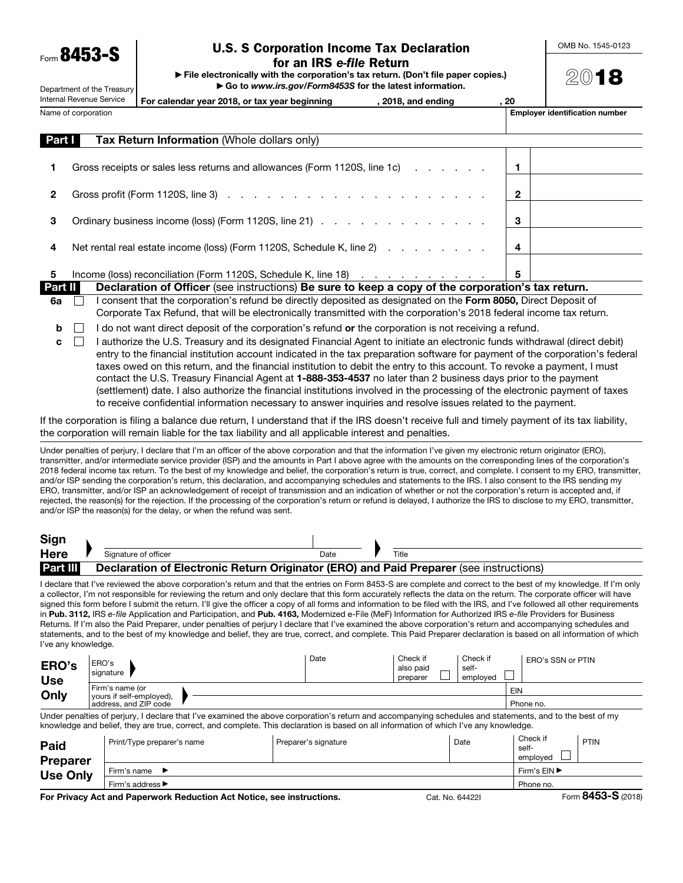$F_{\text{norm}}$  8453

Department of the Treasury

## U.S. S Corporation Income Tax Declaration for an IRS *e-file* Return

▶ File electronically with the corporation's tax return. (Don't file paper copies.) ▶ Go to *www.irs.gov/Form8453S* for the latest information.

OMB No. 1545-0123

2018

| Internal Revenue Service |  | For calendar year 2018, or tax year beginning<br>, 2018, and ending                              |  | , 20 |                                       |  |  |
|--------------------------|--|--------------------------------------------------------------------------------------------------|--|------|---------------------------------------|--|--|
| Name of corporation      |  |                                                                                                  |  |      | <b>Employer identification number</b> |  |  |
| <b>Part I</b>            |  | <b>Tax Return Information (Whole dollars only)</b>                                               |  |      |                                       |  |  |
|                          |  | Gross receipts or sales less returns and allowances (Form 1120S, line 1c)                        |  |      |                                       |  |  |
| 2                        |  |                                                                                                  |  | 2    |                                       |  |  |
| 3                        |  | Ordinary business income (loss) (Form 1120S, line 21)                                            |  | 3    |                                       |  |  |
| 4                        |  | Net rental real estate income (loss) (Form 1120S, Schedule K, line 2)                            |  | 4    |                                       |  |  |
| 5                        |  | Income (loss) reconciliation (Form 1120S, Schedule K, line 18)                                   |  | 5    |                                       |  |  |
| Dort II                  |  | Declaration of Officer (see instructions) Re sure to keep a copy of the corporation's tay return |  |      |                                       |  |  |

- eclaration of Officer (see instructions) Be sure to keep a copy of the corporation's tax return.  $6a \quad \Box$  I consent that the corporation's refund be directly deposited as designated on the Form 8050, Direct Deposit of Corporate Tax Refund, that will be electronically transmitted with the corporation's 2018 federal income tax return.
- $\mathbf{b}$  I do not want direct deposit of the corporation's refund or the corporation is not receiving a refund.
- $\mathbf{c}$  I authorize the U.S. Treasury and its designated Financial Agent to initiate an electronic funds withdrawal (direct debit) entry to the financial institution account indicated in the tax preparation software for payment of the corporation's federal taxes owed on this return, and the financial institution to debit the entry to this account. To revoke a payment, I must contact the U.S. Treasury Financial Agent at 1-888-353-4537 no later than 2 business days prior to the payment (settlement) date. I also authorize the financial institutions involved in the processing of the electronic payment of taxes to receive confidential information necessary to answer inquiries and resolve issues related to the payment.

If the corporation is filing a balance due return, I understand that if the IRS doesn't receive full and timely payment of its tax liability, the corporation will remain liable for the tax liability and all applicable interest and penalties.

Under penalties of perjury, I declare that I'm an officer of the above corporation and that the information I've given my electronic return originator (ERO), transmitter, and/or intermediate service provider (ISP) and the amounts in Part I above agree with the amounts on the corresponding lines of the corporation's 2018 federal income tax return. To the best of my knowledge and belief, the corporation's return is true, correct, and complete. I consent to my ERO, transmitter, and/or ISP sending the corporation's return, this declaration, and accompanying schedules and statements to the IRS. I also consent to the IRS sending my ERO, transmitter, and/or ISP an acknowledgement of receipt of transmission and an indication of whether or not the corporation's return is accepted and, if rejected, the reason(s) for the rejection. If the processing of the corporation's return or refund is delayed, I authorize the IRS to disclose to my ERO, transmitter, and/or ISP the reason(s) for the delay, or when the refund was sent.

| Sign                                                                                                      |  |                      |      |  |       |
|-----------------------------------------------------------------------------------------------------------|--|----------------------|------|--|-------|
| <b>Here</b>                                                                                               |  | Signature of officer | Date |  | Title |
| <b>Part III</b><br>Declaration of Electronic Return Originator (ERO) and Paid Preparer (see instructions) |  |                      |      |  |       |

I declare that I've reviewed the above corporation's return and that the entries on Form 8453-S are complete and correct to the best of my knowledge. If I'm only a collector, I'm not responsible for reviewing the return and only declare that this form accurately reflects the data on the return. The corporate officer will have signed this form before I submit the return. I'll give the officer a copy of all forms and information to be filed with the IRS, and I've followed all other requirements in Pub. 3112, IRS *e-file* Application and Participation, and Pub. 4163, Modernized e-File (MeF) Information for Authorized IRS *e-file* Providers for Business Returns. If I'm also the Paid Preparer, under penalties of perjury I declare that I've examined the above corporation's return and accompanying schedules and statements, and to the best of my knowledge and belief, they are true, correct, and complete. This Paid Preparer declaration is based on all information of which I've any knowledge.

| ERO's<br><b>Use</b><br>Only                                                                                                                              | . ERO's<br>signature                              | Date | Check if<br>also paid<br>preparer | Check if<br>self-<br>emploved | . ERO's SSN or PTIN |  |
|----------------------------------------------------------------------------------------------------------------------------------------------------------|---------------------------------------------------|------|-----------------------------------|-------------------------------|---------------------|--|
|                                                                                                                                                          | I Firm's name (or                                 |      |                                   |                               | EIN                 |  |
|                                                                                                                                                          | yours if self-employed),<br>address, and ZIP code |      |                                   |                               | Phone no.           |  |
| Under penalties of periury. I declare that I've examined the above corporation's return and accompanying schedules and statements, and to the best of my |                                                   |      |                                   |                               |                     |  |

Under penalties of perjury, I declare that I've examined the above corporation's return and accompanying schedules and statements, and to the best of my knowledge and belief, they are true, correct, and complete. This declaration is based on all information of which I've any knowledge.

| Paid<br><b>Preparer</b> | Print/Type preparer's name | Preparer's signature | Date | Check if<br>self-<br>emploved | PTIN          |
|-------------------------|----------------------------|----------------------|------|-------------------------------|---------------|
| <b>Use Only</b>         | Firm's name                |                      |      | Firm's EIN ▶                  |               |
|                         | Firm's address ▶           | Phone no.            |      |                               |               |
|                         |                            |                      |      |                               | $\sim$ $\sim$ |

For Privacy Act and Paperwork Reduction Act Notice, see instructions. Cat. No. 64422I Form 8453-S (2018)